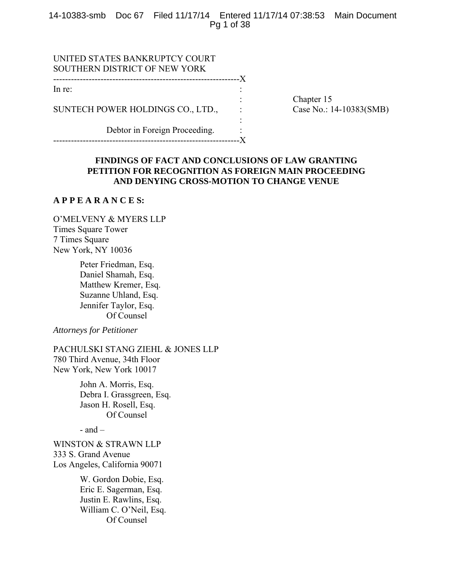14-10383-smb Doc 67 Filed 11/17/14 Entered 11/17/14 07:38:53 Main Document Pg 1 of 38

| UNITED STATES BANKRUPTCY COURT<br>SOUTHERN DISTRICT OF NEW YORK |  |
|-----------------------------------------------------------------|--|
| ---------------------------                                     |  |
| In re:                                                          |  |
|                                                                 |  |
| SUNTECH POWER HOLDINGS CO., LTD.,                               |  |
|                                                                 |  |

Debtor in Foreign Proceeding. ---------------------------------------------------------------X Chapter 15 Case No.: 14-10383(SMB)

# **FINDINGS OF FACT AND CONCLUSIONS OF LAW GRANTING PETITION FOR RECOGNITION AS FOREIGN MAIN PROCEEDING AND DENYING CROSS-MOTION TO CHANGE VENUE**

# **A P P E A R A N C E S:**

O'MELVENY & MYERS LLP Times Square Tower 7 Times Square New York, NY 10036

> Peter Friedman, Esq. Daniel Shamah, Esq. Matthew Kremer, Esq. Suzanne Uhland, Esq. Jennifer Taylor, Esq. Of Counsel

*Attorneys for Petitioner* 

PACHULSKI STANG ZIEHL & JONES LLP 780 Third Avenue, 34th Floor New York, New York 10017

> John A. Morris, Esq. Debra I. Grassgreen, Esq. Jason H. Rosell, Esq. Of Counsel

 $-$  and  $-$ 

WINSTON & STRAWN LLP 333 S. Grand Avenue Los Angeles, California 90071

> W. Gordon Dobie, Esq. Eric E. Sagerman, Esq. Justin E. Rawlins, Esq. William C. O'Neil, Esq. Of Counsel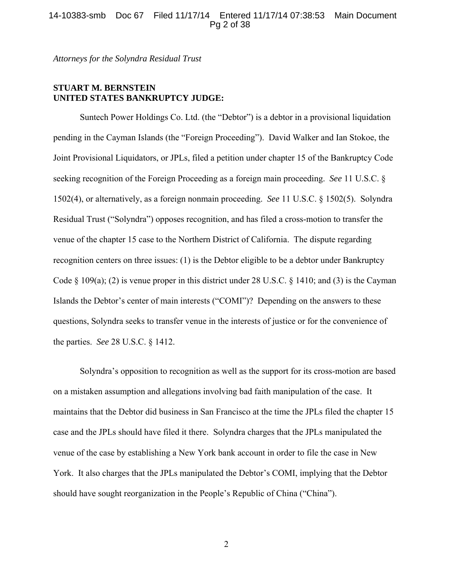# 14-10383-smb Doc 67 Filed 11/17/14 Entered 11/17/14 07:38:53 Main Document Pg 2 of 38

*Attorneys for the Solyndra Residual Trust* 

# **STUART M. BERNSTEIN UNITED STATES BANKRUPTCY JUDGE:**

 Suntech Power Holdings Co. Ltd. (the "Debtor") is a debtor in a provisional liquidation pending in the Cayman Islands (the "Foreign Proceeding"). David Walker and Ian Stokoe, the Joint Provisional Liquidators, or JPLs, filed a petition under chapter 15 of the Bankruptcy Code seeking recognition of the Foreign Proceeding as a foreign main proceeding. *See* 11 U.S.C. § 1502(4), or alternatively, as a foreign nonmain proceeding. *See* 11 U.S.C. § 1502(5). Solyndra Residual Trust ("Solyndra") opposes recognition, and has filed a cross-motion to transfer the venue of the chapter 15 case to the Northern District of California. The dispute regarding recognition centers on three issues: (1) is the Debtor eligible to be a debtor under Bankruptcy Code § 109(a); (2) is venue proper in this district under 28 U.S.C. § 1410; and (3) is the Cayman Islands the Debtor's center of main interests ("COMI")? Depending on the answers to these questions, Solyndra seeks to transfer venue in the interests of justice or for the convenience of the parties. *See* 28 U.S.C. § 1412.

 Solyndra's opposition to recognition as well as the support for its cross-motion are based on a mistaken assumption and allegations involving bad faith manipulation of the case. It maintains that the Debtor did business in San Francisco at the time the JPLs filed the chapter 15 case and the JPLs should have filed it there. Solyndra charges that the JPLs manipulated the venue of the case by establishing a New York bank account in order to file the case in New York. It also charges that the JPLs manipulated the Debtor's COMI, implying that the Debtor should have sought reorganization in the People's Republic of China ("China").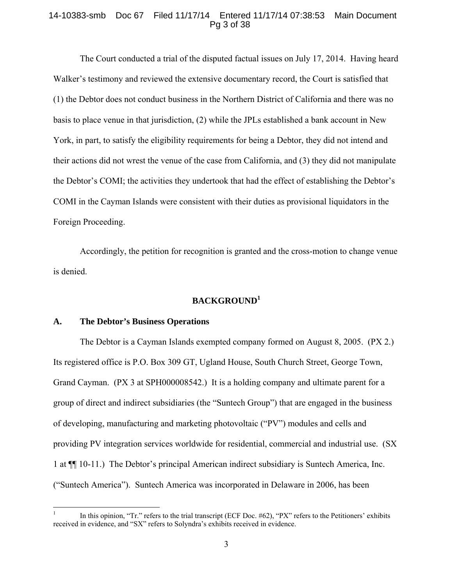# 14-10383-smb Doc 67 Filed 11/17/14 Entered 11/17/14 07:38:53 Main Document Pg 3 of 38

 The Court conducted a trial of the disputed factual issues on July 17, 2014. Having heard Walker's testimony and reviewed the extensive documentary record, the Court is satisfied that (1) the Debtor does not conduct business in the Northern District of California and there was no basis to place venue in that jurisdiction, (2) while the JPLs established a bank account in New York, in part, to satisfy the eligibility requirements for being a Debtor, they did not intend and their actions did not wrest the venue of the case from California, and (3) they did not manipulate the Debtor's COMI; the activities they undertook that had the effect of establishing the Debtor's COMI in the Cayman Islands were consistent with their duties as provisional liquidators in the Foreign Proceeding.

 Accordingly, the petition for recognition is granted and the cross-motion to change venue is denied.

# **BACKGROUND<sup>1</sup>**

### **A. The Debtor's Business Operations**

 $\overline{a}$ 

 The Debtor is a Cayman Islands exempted company formed on August 8, 2005. (PX 2.) Its registered office is P.O. Box 309 GT, Ugland House, South Church Street, George Town, Grand Cayman. (PX 3 at SPH000008542.) It is a holding company and ultimate parent for a group of direct and indirect subsidiaries (the "Suntech Group") that are engaged in the business of developing, manufacturing and marketing photovoltaic ("PV") modules and cells and providing PV integration services worldwide for residential, commercial and industrial use. (SX 1 at ¶¶ 10-11.) The Debtor's principal American indirect subsidiary is Suntech America, Inc. ("Suntech America"). Suntech America was incorporated in Delaware in 2006, has been

<sup>1</sup> In this opinion, "Tr." refers to the trial transcript (ECF Doc. #62), "PX" refers to the Petitioners' exhibits received in evidence, and "SX" refers to Solyndra's exhibits received in evidence.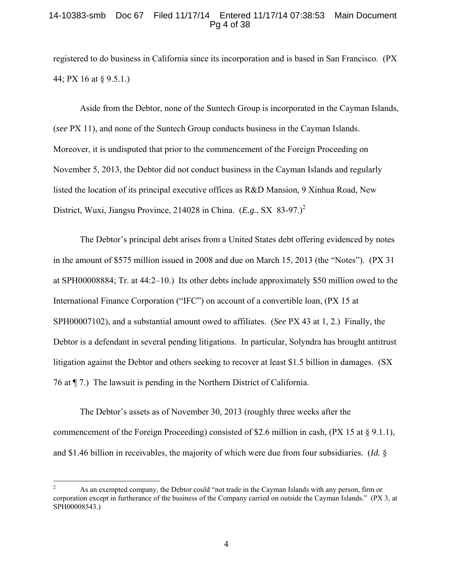# 14-10383-smb Doc 67 Filed 11/17/14 Entered 11/17/14 07:38:53 Main Document Pg 4 of 38

registered to do business in California since its incorporation and is based in San Francisco. (PX 44; PX 16 at § 9.5.1.)

 Aside from the Debtor, none of the Suntech Group is incorporated in the Cayman Islands, (*see* PX 11), and none of the Suntech Group conducts business in the Cayman Islands. Moreover, it is undisputed that prior to the commencement of the Foreign Proceeding on November 5, 2013, the Debtor did not conduct business in the Cayman Islands and regularly listed the location of its principal executive offices as R&D Mansion, 9 Xinhua Road, New District, Wuxi, Jiangsu Province, 214028 in China. (*E.g.*, SX 83-97.)<sup>2</sup>

 The Debtor's principal debt arises from a United States debt offering evidenced by notes in the amount of \$575 million issued in 2008 and due on March 15, 2013 (the "Notes"). (PX 31 at SPH00008884; Tr. at 44:2–10.) Its other debts include approximately \$50 million owed to the International Finance Corporation ("IFC") on account of a convertible loan, (PX 15 at SPH00007102), and a substantial amount owed to affiliates. (*See* PX 43 at 1, 2.) Finally, the Debtor is a defendant in several pending litigations. In particular, Solyndra has brought antitrust litigation against the Debtor and others seeking to recover at least \$1.5 billion in damages. (SX 76 at ¶ 7.) The lawsuit is pending in the Northern District of California.

 The Debtor's assets as of November 30, 2013 (roughly three weeks after the commencement of the Foreign Proceeding) consisted of \$2.6 million in cash,  $(PX 15 at § 9.1.1)$ , and \$1.46 billion in receivables, the majority of which were due from four subsidiaries. (*Id.* §

 $\overline{a}$ 

<sup>2</sup> As an exempted company, the Debtor could "not trade in the Cayman Islands with any person, firm or corporation except in furtherance of the business of the Company carried on outside the Cayman Islands." (PX 3, at SPH00008543.)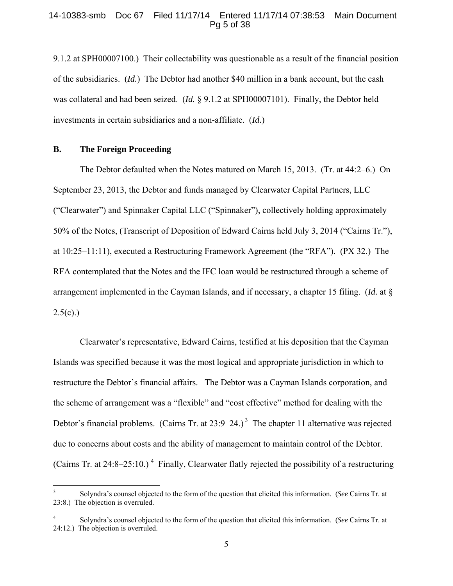## 14-10383-smb Doc 67 Filed 11/17/14 Entered 11/17/14 07:38:53 Main Document Pg 5 of 38

9.1.2 at SPH00007100.) Their collectability was questionable as a result of the financial position of the subsidiaries. (*Id.*) The Debtor had another \$40 million in a bank account, but the cash was collateral and had been seized. (*Id.* § 9.1.2 at SPH00007101). Finally, the Debtor held investments in certain subsidiaries and a non-affiliate. (*Id.*)

#### **B. The Foreign Proceeding**

 The Debtor defaulted when the Notes matured on March 15, 2013. (Tr. at 44:2–6.) On September 23, 2013, the Debtor and funds managed by Clearwater Capital Partners, LLC ("Clearwater") and Spinnaker Capital LLC ("Spinnaker"), collectively holding approximately 50% of the Notes, (Transcript of Deposition of Edward Cairns held July 3, 2014 ("Cairns Tr."), at 10:25–11:11), executed a Restructuring Framework Agreement (the "RFA"). (PX 32.) The RFA contemplated that the Notes and the IFC loan would be restructured through a scheme of arrangement implemented in the Cayman Islands, and if necessary, a chapter 15 filing. (*Id.* at §  $2.5(c)$ .)

 Clearwater's representative, Edward Cairns, testified at his deposition that the Cayman Islands was specified because it was the most logical and appropriate jurisdiction in which to restructure the Debtor's financial affairs. The Debtor was a Cayman Islands corporation, and the scheme of arrangement was a "flexible" and "cost effective" method for dealing with the Debtor's financial problems. (Cairns Tr. at  $23:9-24.$ )<sup>3</sup> The chapter 11 alternative was rejected due to concerns about costs and the ability of management to maintain control of the Debtor. (Cairns Tr. at 24:8–25:10.)<sup>4</sup> Finally, Clearwater flatly rejected the possibility of a restructuring

 3 Solyndra's counsel objected to the form of the question that elicited this information. (*See* Cairns Tr. at 23:8.) The objection is overruled.

<sup>4</sup> Solyndra's counsel objected to the form of the question that elicited this information. (*See* Cairns Tr. at 24:12.) The objection is overruled.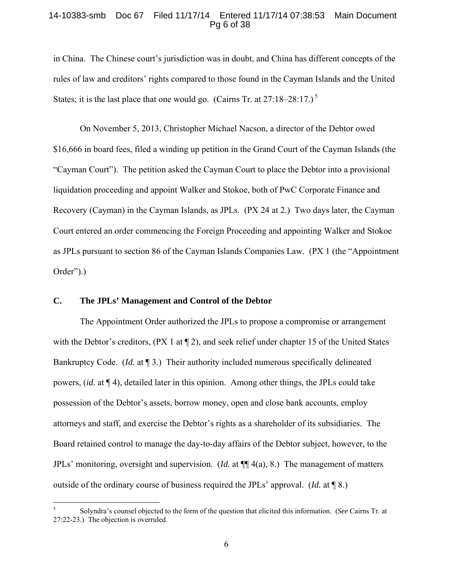# 14-10383-smb Doc 67 Filed 11/17/14 Entered 11/17/14 07:38:53 Main Document Pg 6 of 38

in China. The Chinese court's jurisdiction was in doubt, and China has different concepts of the rules of law and creditors' rights compared to those found in the Cayman Islands and the United States; it is the last place that one would go. (Cairns Tr. at  $27:18-28:17.$ )<sup>5</sup>

 On November 5, 2013, Christopher Michael Nacson, a director of the Debtor owed \$16,666 in board fees, filed a winding up petition in the Grand Court of the Cayman Islands (the "Cayman Court"). The petition asked the Cayman Court to place the Debtor into a provisional liquidation proceeding and appoint Walker and Stokoe, both of PwC Corporate Finance and Recovery (Cayman) in the Cayman Islands, as JPLs. (PX 24 at 2.) Two days later, the Cayman Court entered an order commencing the Foreign Proceeding and appointing Walker and Stokoe as JPLs pursuant to section 86 of the Cayman Islands Companies Law. (PX 1 (the "Appointment Order").)

# **C. The JPLs' Management and Control of the Debtor**

1

 The Appointment Order authorized the JPLs to propose a compromise or arrangement with the Debtor's creditors, (PX 1 at  $\P$  2), and seek relief under chapter 15 of the United States Bankruptcy Code. (*Id.* at 13.) Their authority included numerous specifically delineated powers, (*id.* at ¶ 4), detailed later in this opinion. Among other things, the JPLs could take possession of the Debtor's assets, borrow money, open and close bank accounts, employ attorneys and staff, and exercise the Debtor's rights as a shareholder of its subsidiaries. The Board retained control to manage the day-to-day affairs of the Debtor subject, however, to the JPLs' monitoring, oversight and supervision. (*Id.* at ¶¶ 4(a), 8.) The management of matters outside of the ordinary course of business required the JPLs' approval. (*Id.* at ¶ 8.)

<sup>5</sup> Solyndra's counsel objected to the form of the question that elicited this information. (*See* Cairns Tr. at 27:22-23.) The objection is overruled.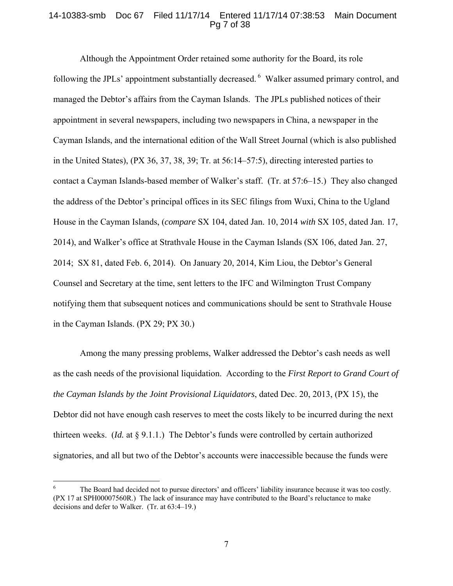# 14-10383-smb Doc 67 Filed 11/17/14 Entered 11/17/14 07:38:53 Main Document Pg 7 of 38

 Although the Appointment Order retained some authority for the Board, its role following the JPLs' appointment substantially decreased. <sup>6</sup> Walker assumed primary control, and managed the Debtor's affairs from the Cayman Islands. The JPLs published notices of their appointment in several newspapers, including two newspapers in China, a newspaper in the Cayman Islands, and the international edition of the Wall Street Journal (which is also published in the United States), (PX 36, 37, 38, 39; Tr. at 56:14–57:5), directing interested parties to contact a Cayman Islands-based member of Walker's staff. (Tr. at 57:6–15.) They also changed the address of the Debtor's principal offices in its SEC filings from Wuxi, China to the Ugland House in the Cayman Islands, (*compare* SX 104, dated Jan. 10, 2014 *with* SX 105, dated Jan. 17, 2014), and Walker's office at Strathvale House in the Cayman Islands (SX 106, dated Jan. 27, 2014; SX 81, dated Feb. 6, 2014). On January 20, 2014, Kim Liou, the Debtor's General Counsel and Secretary at the time, sent letters to the IFC and Wilmington Trust Company notifying them that subsequent notices and communications should be sent to Strathvale House in the Cayman Islands. (PX 29; PX 30.)

 Among the many pressing problems, Walker addressed the Debtor's cash needs as well as the cash needs of the provisional liquidation. According to the *First Report to Grand Court of the Cayman Islands by the Joint Provisional Liquidators*, dated Dec. 20, 2013, (PX 15), the Debtor did not have enough cash reserves to meet the costs likely to be incurred during the next thirteen weeks. (*Id.* at § 9.1.1.) The Debtor's funds were controlled by certain authorized signatories, and all but two of the Debtor's accounts were inaccessible because the funds were

 $\overline{a}$ 

<sup>6</sup> The Board had decided not to pursue directors' and officers' liability insurance because it was too costly. (PX 17 at SPH00007560R.) The lack of insurance may have contributed to the Board's reluctance to make decisions and defer to Walker. (Tr. at 63:4–19.)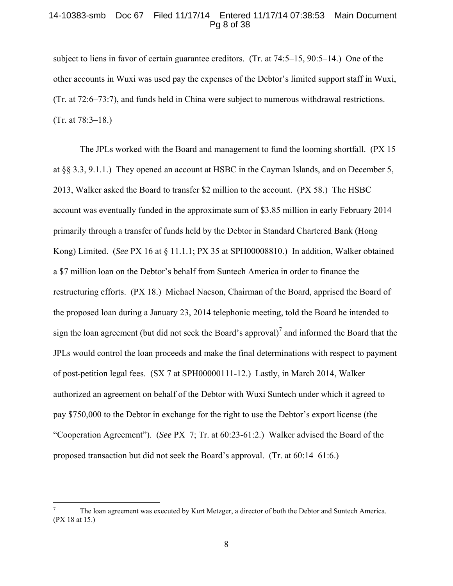# 14-10383-smb Doc 67 Filed 11/17/14 Entered 11/17/14 07:38:53 Main Document Pg 8 of 38

subject to liens in favor of certain guarantee creditors. (Tr. at 74:5–15, 90:5–14.) One of the other accounts in Wuxi was used pay the expenses of the Debtor's limited support staff in Wuxi, (Tr. at 72:6–73:7), and funds held in China were subject to numerous withdrawal restrictions. (Tr. at 78:3–18.)

 The JPLs worked with the Board and management to fund the looming shortfall. (PX 15 at §§ 3.3, 9.1.1.) They opened an account at HSBC in the Cayman Islands, and on December 5, 2013, Walker asked the Board to transfer \$2 million to the account. (PX 58.) The HSBC account was eventually funded in the approximate sum of \$3.85 million in early February 2014 primarily through a transfer of funds held by the Debtor in Standard Chartered Bank (Hong Kong) Limited. (*See* PX 16 at § 11.1.1; PX 35 at SPH00008810.) In addition, Walker obtained a \$7 million loan on the Debtor's behalf from Suntech America in order to finance the restructuring efforts. (PX 18.) Michael Nacson, Chairman of the Board, apprised the Board of the proposed loan during a January 23, 2014 telephonic meeting, told the Board he intended to sign the loan agreement (but did not seek the Board's approval)<sup>7</sup> and informed the Board that the JPLs would control the loan proceeds and make the final determinations with respect to payment of post-petition legal fees. (SX 7 at SPH00000111-12.) Lastly, in March 2014, Walker authorized an agreement on behalf of the Debtor with Wuxi Suntech under which it agreed to pay \$750,000 to the Debtor in exchange for the right to use the Debtor's export license (the "Cooperation Agreement"). (*See* PX 7; Tr. at 60:23-61:2.) Walker advised the Board of the proposed transaction but did not seek the Board's approval. (Tr. at 60:14–61:6.)

 $\overline{a}$ 

<sup>7</sup> The loan agreement was executed by Kurt Metzger, a director of both the Debtor and Suntech America. (PX 18 at 15.)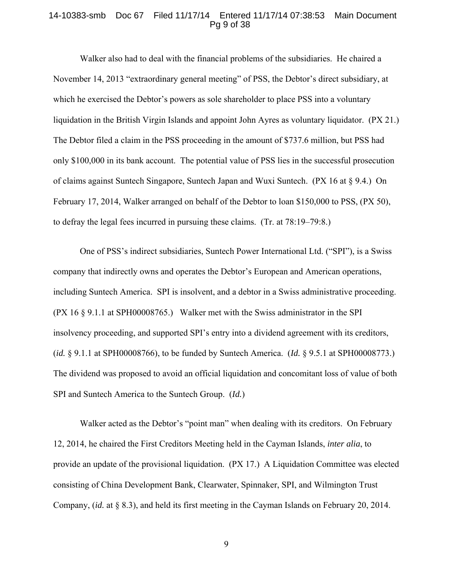### 14-10383-smb Doc 67 Filed 11/17/14 Entered 11/17/14 07:38:53 Main Document Pg 9 of 38

 Walker also had to deal with the financial problems of the subsidiaries. He chaired a November 14, 2013 "extraordinary general meeting" of PSS, the Debtor's direct subsidiary, at which he exercised the Debtor's powers as sole shareholder to place PSS into a voluntary liquidation in the British Virgin Islands and appoint John Ayres as voluntary liquidator. (PX 21.) The Debtor filed a claim in the PSS proceeding in the amount of \$737.6 million, but PSS had only \$100,000 in its bank account. The potential value of PSS lies in the successful prosecution of claims against Suntech Singapore, Suntech Japan and Wuxi Suntech. (PX 16 at § 9.4.) On February 17, 2014, Walker arranged on behalf of the Debtor to loan \$150,000 to PSS, (PX 50), to defray the legal fees incurred in pursuing these claims. (Tr. at 78:19–79:8.)

 One of PSS's indirect subsidiaries, Suntech Power International Ltd. ("SPI"), is a Swiss company that indirectly owns and operates the Debtor's European and American operations, including Suntech America. SPI is insolvent, and a debtor in a Swiss administrative proceeding. (PX 16 § 9.1.1 at SPH00008765.) Walker met with the Swiss administrator in the SPI insolvency proceeding, and supported SPI's entry into a dividend agreement with its creditors, (*id.* § 9.1.1 at SPH00008766), to be funded by Suntech America. (*Id.* § 9.5.1 at SPH00008773.) The dividend was proposed to avoid an official liquidation and concomitant loss of value of both SPI and Suntech America to the Suntech Group. (*Id.*)

Walker acted as the Debtor's "point man" when dealing with its creditors. On February 12, 2014, he chaired the First Creditors Meeting held in the Cayman Islands, *inter alia*, to provide an update of the provisional liquidation. (PX 17.) A Liquidation Committee was elected consisting of China Development Bank, Clearwater, Spinnaker, SPI, and Wilmington Trust Company, (*id.* at § 8.3), and held its first meeting in the Cayman Islands on February 20, 2014.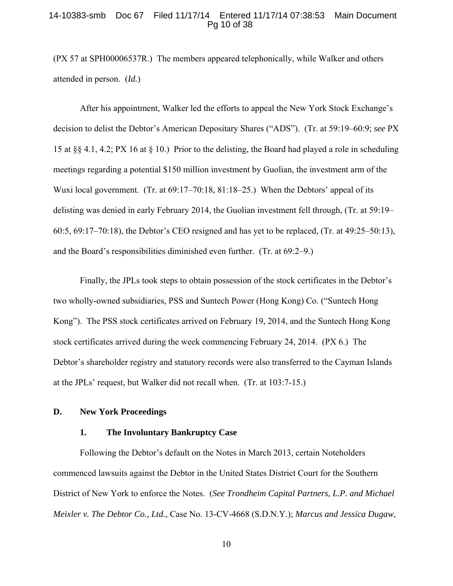### 14-10383-smb Doc 67 Filed 11/17/14 Entered 11/17/14 07:38:53 Main Document Pg 10 of 38

(PX 57 at SPH00006537R.) The members appeared telephonically, while Walker and others attended in person. (*Id.*)

 After his appointment, Walker led the efforts to appeal the New York Stock Exchange's decision to delist the Debtor's American Depositary Shares ("ADS"). (Tr. at 59:19–60:9; *see* PX 15 at §§ 4.1, 4.2; PX 16 at § 10.) Prior to the delisting, the Board had played a role in scheduling meetings regarding a potential \$150 million investment by Guolian, the investment arm of the Wuxi local government. (Tr. at  $69:17-70:18$ ,  $81:18-25$ .) When the Debtors' appeal of its delisting was denied in early February 2014, the Guolian investment fell through, (Tr. at 59:19– 60:5, 69:17–70:18), the Debtor's CEO resigned and has yet to be replaced, (Tr. at 49:25–50:13), and the Board's responsibilities diminished even further. (Tr. at 69:2–9.)

 Finally, the JPLs took steps to obtain possession of the stock certificates in the Debtor's two wholly-owned subsidiaries, PSS and Suntech Power (Hong Kong) Co. ("Suntech Hong Kong"). The PSS stock certificates arrived on February 19, 2014, and the Suntech Hong Kong stock certificates arrived during the week commencing February 24, 2014. (PX 6.)The Debtor's shareholder registry and statutory records were also transferred to the Cayman Islands at the JPLs' request, but Walker did not recall when. (Tr. at 103:7-15.)

# **D. New York Proceedings**

#### **1. The Involuntary Bankruptcy Case**

 Following the Debtor's default on the Notes in March 2013, certain Noteholders commenced lawsuits against the Debtor in the United States District Court for the Southern District of New York to enforce the Notes. (*See Trondheim Capital Partners, L.P. and Michael Meixler v. The Debtor Co., Ltd.*, Case No. 13-CV-4668 (S.D.N.Y.); *Marcus and Jessica Dugaw,*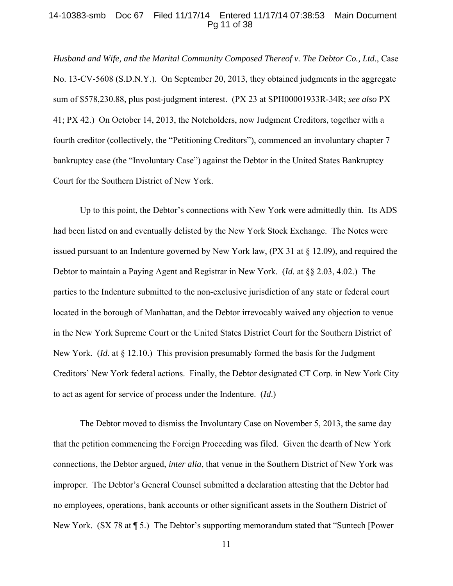# 14-10383-smb Doc 67 Filed 11/17/14 Entered 11/17/14 07:38:53 Main Document Pg 11 of 38

*Husband and Wife, and the Marital Community Composed Thereof v. The Debtor Co., Ltd.*, Case No. 13-CV-5608 (S.D.N.Y.). On September 20, 2013, they obtained judgments in the aggregate sum of \$578,230.88, plus post-judgment interest. (PX 23 at SPH00001933R-34R; *see also* PX 41; PX 42.) On October 14, 2013, the Noteholders, now Judgment Creditors, together with a fourth creditor (collectively, the "Petitioning Creditors"), commenced an involuntary chapter 7 bankruptcy case (the "Involuntary Case") against the Debtor in the United States Bankruptcy Court for the Southern District of New York.

 Up to this point, the Debtor's connections with New York were admittedly thin. Its ADS had been listed on and eventually delisted by the New York Stock Exchange. The Notes were issued pursuant to an Indenture governed by New York law, (PX 31 at § 12.09), and required the Debtor to maintain a Paying Agent and Registrar in New York. (*Id.* at §§ 2.03, 4.02.) The parties to the Indenture submitted to the non-exclusive jurisdiction of any state or federal court located in the borough of Manhattan, and the Debtor irrevocably waived any objection to venue in the New York Supreme Court or the United States District Court for the Southern District of New York. (*Id.* at § 12.10.) This provision presumably formed the basis for the Judgment Creditors' New York federal actions. Finally, the Debtor designated CT Corp. in New York City to act as agent for service of process under the Indenture. (*Id*.)

 The Debtor moved to dismiss the Involuntary Case on November 5, 2013, the same day that the petition commencing the Foreign Proceeding was filed. Given the dearth of New York connections, the Debtor argued, *inter alia*, that venue in the Southern District of New York was improper. The Debtor's General Counsel submitted a declaration attesting that the Debtor had no employees, operations, bank accounts or other significant assets in the Southern District of New York. (SX 78 at ¶ 5.) The Debtor's supporting memorandum stated that "Suntech [Power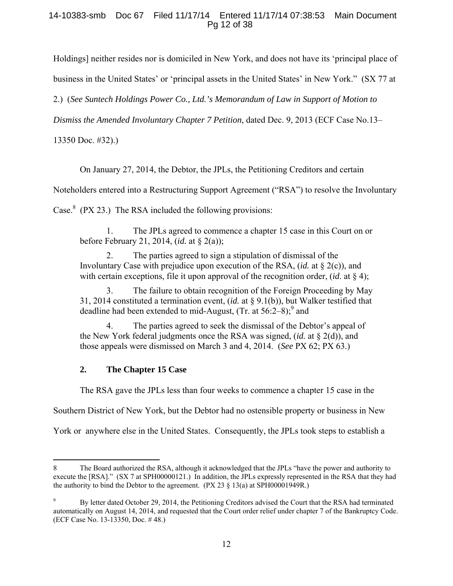# 14-10383-smb Doc 67 Filed 11/17/14 Entered 11/17/14 07:38:53 Main Document Pg 12 of 38

Holdings] neither resides nor is domiciled in New York, and does not have its 'principal place of

business in the United States' or 'principal assets in the United States' in New York." (SX 77 at

2.) (*See Suntech Holdings Power Co., Ltd.'s Memorandum of Law in Support of Motion to* 

*Dismiss the Amended Involuntary Chapter 7 Petition*, dated Dec. 9, 2013 (ECF Case No.13–

13350 Doc. #32).)

 $\overline{a}$ 

On January 27, 2014, the Debtor, the JPLs, the Petitioning Creditors and certain

Noteholders entered into a Restructuring Support Agreement ("RSA") to resolve the Involuntary

Case.<sup>8</sup> (PX 23.) The RSA included the following provisions:

 1. The JPLs agreed to commence a chapter 15 case in this Court on or before February 21, 2014, (*id.* at § 2(a));

 2. The parties agreed to sign a stipulation of dismissal of the Involuntary Case with prejudice upon execution of the RSA, (*id.* at § 2(c)), and with certain exceptions, file it upon approval of the recognition order, (*id*. at § 4);

 3. The failure to obtain recognition of the Foreign Proceeding by May 31, 2014 constituted a termination event, (*id.* at § 9.1(b)), but Walker testified that deadline had been extended to mid-August, (Tr. at  $56:2-8$ );<sup>9</sup> and

 4. The parties agreed to seek the dismissal of the Debtor's appeal of the New York federal judgments once the RSA was signed, (*id.* at § 2(d)), and those appeals were dismissed on March 3 and 4, 2014. (*See* PX 62; PX 63.)

# **2. The Chapter 15 Case**

The RSA gave the JPLs less than four weeks to commence a chapter 15 case in the

Southern District of New York, but the Debtor had no ostensible property or business in New

York or anywhere else in the United States. Consequently, the JPLs took steps to establish a

<sup>8</sup> The Board authorized the RSA, although it acknowledged that the JPLs "have the power and authority to execute the [RSA]." (SX 7 at SPH00000121.) In addition, the JPLs expressly represented in the RSA that they had the authority to bind the Debtor to the agreement.  $(PX 23 \n§ 13(a)$  at SPH00001949R.)

<sup>9</sup> By letter dated October 29, 2014, the Petitioning Creditors advised the Court that the RSA had terminated automatically on August 14, 2014, and requested that the Court order relief under chapter 7 of the Bankruptcy Code. (ECF Case No. 13-13350, Doc. # 48.)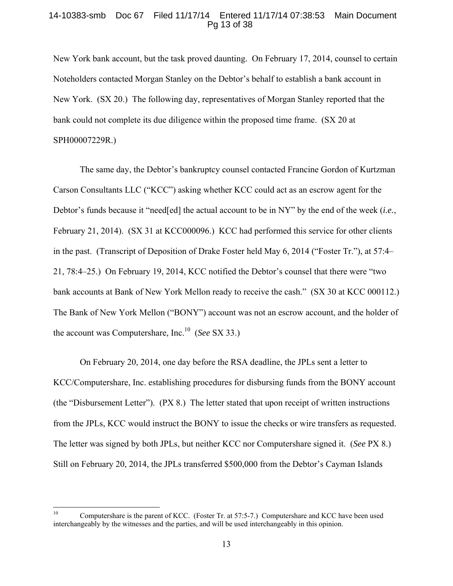# 14-10383-smb Doc 67 Filed 11/17/14 Entered 11/17/14 07:38:53 Main Document Pg 13 of 38

New York bank account, but the task proved daunting. On February 17, 2014, counsel to certain Noteholders contacted Morgan Stanley on the Debtor's behalf to establish a bank account in New York. (SX 20.) The following day, representatives of Morgan Stanley reported that the bank could not complete its due diligence within the proposed time frame. (SX 20 at SPH00007229R.)

 The same day, the Debtor's bankruptcy counsel contacted Francine Gordon of Kurtzman Carson Consultants LLC ("KCC") asking whether KCC could act as an escrow agent for the Debtor's funds because it "need[ed] the actual account to be in NY" by the end of the week (*i.e.*, February 21, 2014). (SX 31 at KCC000096.) KCC had performed this service for other clients in the past. (Transcript of Deposition of Drake Foster held May 6, 2014 ("Foster Tr."), at 57:4– 21, 78:4–25.) On February 19, 2014, KCC notified the Debtor's counsel that there were "two bank accounts at Bank of New York Mellon ready to receive the cash." (SX 30 at KCC 000112.) The Bank of New York Mellon ("BONY") account was not an escrow account, and the holder of the account was Computershare, Inc.10 (*See* SX 33.)

 On February 20, 2014, one day before the RSA deadline, the JPLs sent a letter to KCC/Computershare, Inc. establishing procedures for disbursing funds from the BONY account (the "Disbursement Letter"). (PX 8.) The letter stated that upon receipt of written instructions from the JPLs, KCC would instruct the BONY to issue the checks or wire transfers as requested. The letter was signed by both JPLs, but neither KCC nor Computershare signed it. (*See* PX 8.) Still on February 20, 2014, the JPLs transferred \$500,000 from the Debtor's Cayman Islands

 $10\,$ Computershare is the parent of KCC. (Foster Tr. at 57:5-7.) Computershare and KCC have been used interchangeably by the witnesses and the parties, and will be used interchangeably in this opinion.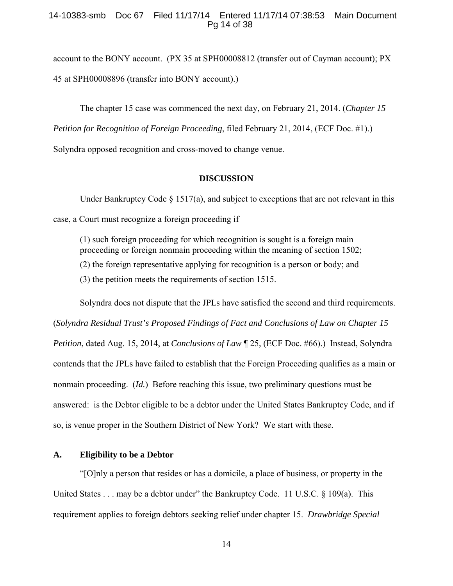# 14-10383-smb Doc 67 Filed 11/17/14 Entered 11/17/14 07:38:53 Main Document Pg 14 of 38

account to the BONY account. (PX 35 at SPH00008812 (transfer out of Cayman account); PX 45 at SPH00008896 (transfer into BONY account).)

The chapter 15 case was commenced the next day, on February 21, 2014. (*Chapter 15* 

*Petition for Recognition of Foreign Proceeding*, filed February 21, 2014, (ECF Doc. #1).)

Solyndra opposed recognition and cross-moved to change venue.

### **DISCUSSION**

Under Bankruptcy Code  $\S 1517(a)$ , and subject to exceptions that are not relevant in this case, a Court must recognize a foreign proceeding if

(1) such foreign proceeding for which recognition is sought is a foreign main proceeding or foreign nonmain proceeding within the meaning of section 1502; (2) the foreign representative applying for recognition is a person or body; and (3) the petition meets the requirements of section 1515.

 Solyndra does not dispute that the JPLs have satisfied the second and third requirements. (*Solyndra Residual Trust's Proposed Findings of Fact and Conclusions of Law on Chapter 15 Petition*, dated Aug. 15, 2014, at *Conclusions of Law* ¶ 25, (ECF Doc. #66).) Instead, Solyndra contends that the JPLs have failed to establish that the Foreign Proceeding qualifies as a main or nonmain proceeding. (*Id.*) Before reaching this issue, two preliminary questions must be answered: is the Debtor eligible to be a debtor under the United States Bankruptcy Code, and if so, is venue proper in the Southern District of New York? We start with these.

# **A. Eligibility to be a Debtor**

 "[O]nly a person that resides or has a domicile, a place of business, or property in the United States . . . may be a debtor under" the Bankruptcy Code. 11 U.S.C. § 109(a). This requirement applies to foreign debtors seeking relief under chapter 15. *Drawbridge Special*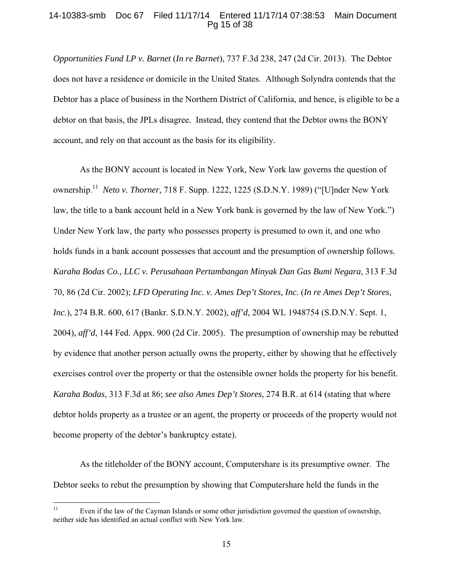# 14-10383-smb Doc 67 Filed 11/17/14 Entered 11/17/14 07:38:53 Main Document Pg 15 of 38

*Opportunities Fund LP v. Barnet* (*In re Barnet*), 737 F.3d 238, 247 (2d Cir. 2013). The Debtor does not have a residence or domicile in the United States. Although Solyndra contends that the Debtor has a place of business in the Northern District of California, and hence, is eligible to be a debtor on that basis, the JPLs disagree. Instead, they contend that the Debtor owns the BONY account, and rely on that account as the basis for its eligibility.

 As the BONY account is located in New York, New York law governs the question of ownership.11 *Neto v. Thorner*, 718 F. Supp. 1222, 1225 (S.D.N.Y. 1989) ("[U]nder New York law, the title to a bank account held in a New York bank is governed by the law of New York.") Under New York law, the party who possesses property is presumed to own it, and one who holds funds in a bank account possesses that account and the presumption of ownership follows. *Karaha Bodas Co., LLC v. Perusahaan Pertambangan Minyak Dan Gas Bumi Negara*, 313 F.3d 70, 86 (2d Cir. 2002); *LFD Operating Inc. v. Ames Dep't Stores, Inc.* (*In re Ames Dep't Stores, Inc.*), 274 B.R. 600, 617 (Bankr. S.D.N.Y. 2002), *aff'd*, 2004 WL 1948754 (S.D.N.Y. Sept. 1, 2004), *aff'd*, 144 Fed. Appx. 900 (2d Cir. 2005). The presumption of ownership may be rebutted by evidence that another person actually owns the property, either by showing that he effectively exercises control over the property or that the ostensible owner holds the property for his benefit. *Karaha Bodas*, 313 F.3d at 86; *see also Ames Dep't Stores*, 274 B.R. at 614 (stating that where debtor holds property as a trustee or an agent, the property or proceeds of the property would not become property of the debtor's bankruptcy estate).

 As the titleholder of the BONY account, Computershare is its presumptive owner. The Debtor seeks to rebut the presumption by showing that Computershare held the funds in the

 $11\,$ Even if the law of the Cayman Islands or some other jurisdiction governed the question of ownership, neither side has identified an actual conflict with New York law.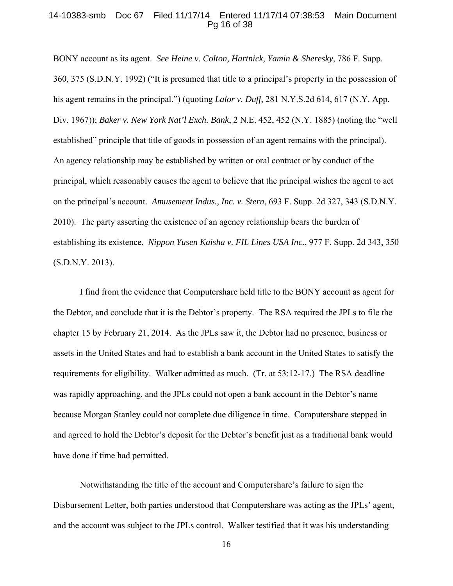### 14-10383-smb Doc 67 Filed 11/17/14 Entered 11/17/14 07:38:53 Main Document Pg 16 of 38

BONY account as its agent. *See Heine v. Colton, Hartnick, Yamin & Sheresky*, 786 F. Supp. 360, 375 (S.D.N.Y. 1992) ("It is presumed that title to a principal's property in the possession of his agent remains in the principal.") (quoting *Lalor v. Duff*, 281 N.Y.S.2d 614, 617 (N.Y. App. Div. 1967)); *Baker v. New York Nat'l Exch. Bank*, 2 N.E. 452, 452 (N.Y. 1885) (noting the "well established" principle that title of goods in possession of an agent remains with the principal). An agency relationship may be established by written or oral contract or by conduct of the principal, which reasonably causes the agent to believe that the principal wishes the agent to act on the principal's account. *Amusement Indus., Inc. v. Stern*, 693 F. Supp. 2d 327, 343 (S.D.N.Y. 2010). The party asserting the existence of an agency relationship bears the burden of establishing its existence. *Nippon Yusen Kaisha v. FIL Lines USA Inc.*, 977 F. Supp. 2d 343, 350 (S.D.N.Y. 2013).

 I find from the evidence that Computershare held title to the BONY account as agent for the Debtor, and conclude that it is the Debtor's property. The RSA required the JPLs to file the chapter 15 by February 21, 2014. As the JPLs saw it, the Debtor had no presence, business or assets in the United States and had to establish a bank account in the United States to satisfy the requirements for eligibility. Walker admitted as much. (Tr. at 53:12-17.) The RSA deadline was rapidly approaching, and the JPLs could not open a bank account in the Debtor's name because Morgan Stanley could not complete due diligence in time. Computershare stepped in and agreed to hold the Debtor's deposit for the Debtor's benefit just as a traditional bank would have done if time had permitted.

 Notwithstanding the title of the account and Computershare's failure to sign the Disbursement Letter, both parties understood that Computershare was acting as the JPLs' agent, and the account was subject to the JPLs control. Walker testified that it was his understanding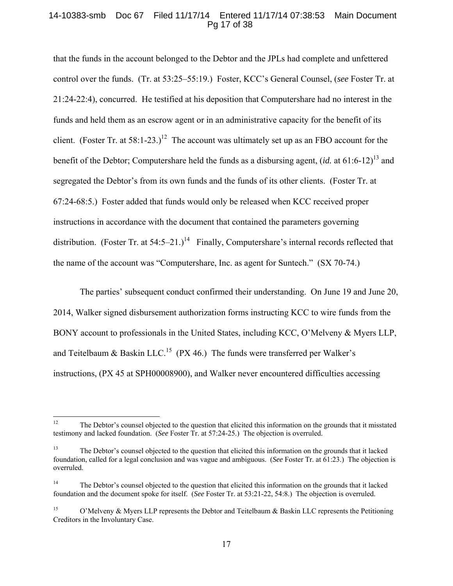# 14-10383-smb Doc 67 Filed 11/17/14 Entered 11/17/14 07:38:53 Main Document Pg 17 of 38

that the funds in the account belonged to the Debtor and the JPLs had complete and unfettered control over the funds. (Tr. at 53:25–55:19.) Foster, KCC's General Counsel, (*see* Foster Tr. at 21:24-22:4), concurred. He testified at his deposition that Computershare had no interest in the funds and held them as an escrow agent or in an administrative capacity for the benefit of its client. (Foster Tr. at  $58:1-23.$ )<sup>12</sup> The account was ultimately set up as an FBO account for the benefit of the Debtor; Computershare held the funds as a disbursing agent, *(id.* at 61:6-12)<sup>13</sup> and segregated the Debtor's from its own funds and the funds of its other clients. (Foster Tr. at 67:24-68:5.)Foster added that funds would only be released when KCC received proper instructions in accordance with the document that contained the parameters governing distribution. (Foster Tr. at  $54:5-21.$ )<sup>14</sup> Finally, Computershare's internal records reflected that the name of the account was "Computershare, Inc. as agent for Suntech." (SX 70-74.)

 The parties' subsequent conduct confirmed their understanding. On June 19 and June 20, 2014, Walker signed disbursement authorization forms instructing KCC to wire funds from the BONY account to professionals in the United States, including KCC, O'Melveny & Myers LLP, and Teitelbaum  $\&$  Baskin LLC.<sup>15</sup> (PX 46.) The funds were transferred per Walker's instructions, (PX 45 at SPH00008900), and Walker never encountered difficulties accessing

 $12$ 12 The Debtor's counsel objected to the question that elicited this information on the grounds that it misstated testimony and lacked foundation. (*See* Foster Tr. at 57:24-25.) The objection is overruled.

<sup>&</sup>lt;sup>13</sup> The Debtor's counsel objected to the question that elicited this information on the grounds that it lacked foundation, called for a legal conclusion and was vague and ambiguous. (*See* Foster Tr. at 61:23.) The objection is overruled.

<sup>&</sup>lt;sup>14</sup> The Debtor's counsel objected to the question that elicited this information on the grounds that it lacked foundation and the document spoke for itself. (*See* Foster Tr. at 53:21-22, 54:8.) The objection is overruled.

<sup>&</sup>lt;sup>15</sup> O'Melveny & Myers LLP represents the Debtor and Teitelbaum & Baskin LLC represents the Petitioning Creditors in the Involuntary Case.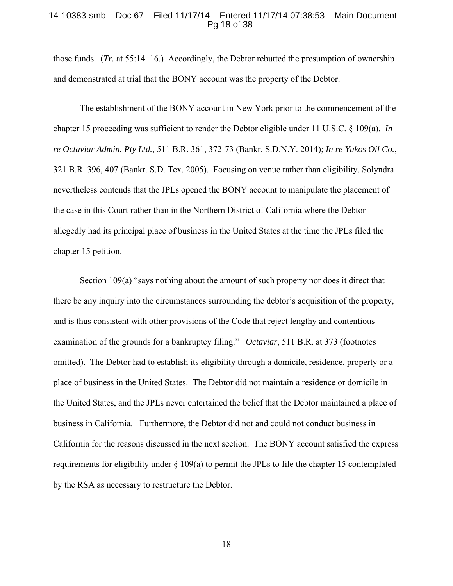### 14-10383-smb Doc 67 Filed 11/17/14 Entered 11/17/14 07:38:53 Main Document Pg 18 of 38

those funds. (*Tr.* at 55:14–16.) Accordingly, the Debtor rebutted the presumption of ownership and demonstrated at trial that the BONY account was the property of the Debtor.

 The establishment of the BONY account in New York prior to the commencement of the chapter 15 proceeding was sufficient to render the Debtor eligible under 11 U.S.C. § 109(a). *In re Octaviar Admin. Pty Ltd.*, 511 B.R. 361, 372-73 (Bankr. S.D.N.Y. 2014); *In re Yukos Oil Co.*, 321 B.R. 396, 407 (Bankr. S.D. Tex. 2005). Focusing on venue rather than eligibility, Solyndra nevertheless contends that the JPLs opened the BONY account to manipulate the placement of the case in this Court rather than in the Northern District of California where the Debtor allegedly had its principal place of business in the United States at the time the JPLs filed the chapter 15 petition.

 Section 109(a) "says nothing about the amount of such property nor does it direct that there be any inquiry into the circumstances surrounding the debtor's acquisition of the property, and is thus consistent with other provisions of the Code that reject lengthy and contentious examination of the grounds for a bankruptcy filing." *Octaviar*, 511 B.R. at 373 (footnotes omitted). The Debtor had to establish its eligibility through a domicile, residence, property or a place of business in the United States. The Debtor did not maintain a residence or domicile in the United States, and the JPLs never entertained the belief that the Debtor maintained a place of business in California. Furthermore, the Debtor did not and could not conduct business in California for the reasons discussed in the next section. The BONY account satisfied the express requirements for eligibility under  $\S$  109(a) to permit the JPLs to file the chapter 15 contemplated by the RSA as necessary to restructure the Debtor.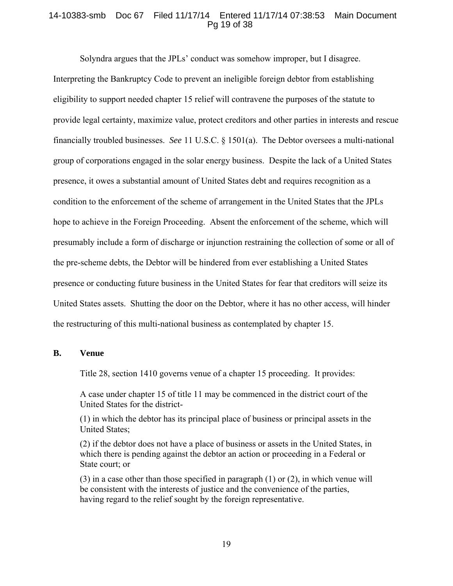# 14-10383-smb Doc 67 Filed 11/17/14 Entered 11/17/14 07:38:53 Main Document Pg 19 of 38

Solyndra argues that the JPLs' conduct was somehow improper, but I disagree.

Interpreting the Bankruptcy Code to prevent an ineligible foreign debtor from establishing eligibility to support needed chapter 15 relief will contravene the purposes of the statute to provide legal certainty, maximize value, protect creditors and other parties in interests and rescue financially troubled businesses. *See* 11 U.S.C. § 1501(a). The Debtor oversees a multi-national group of corporations engaged in the solar energy business. Despite the lack of a United States presence, it owes a substantial amount of United States debt and requires recognition as a condition to the enforcement of the scheme of arrangement in the United States that the JPLs hope to achieve in the Foreign Proceeding. Absent the enforcement of the scheme, which will presumably include a form of discharge or injunction restraining the collection of some or all of the pre-scheme debts, the Debtor will be hindered from ever establishing a United States presence or conducting future business in the United States for fear that creditors will seize its United States assets. Shutting the door on the Debtor, where it has no other access, will hinder the restructuring of this multi-national business as contemplated by chapter 15.

#### **B. Venue**

Title 28, section 1410 governs venue of a chapter 15 proceeding. It provides:

A case under chapter 15 of title 11 may be commenced in the district court of the United States for the district-

(1) in which the debtor has its principal place of business or principal assets in the United States;

(2) if the debtor does not have a place of business or assets in the United States, in which there is pending against the debtor an action or proceeding in a Federal or State court; or

(3) in a case other than those specified in paragraph (1) or (2), in which venue will be consistent with the interests of justice and the convenience of the parties, having regard to the relief sought by the foreign representative.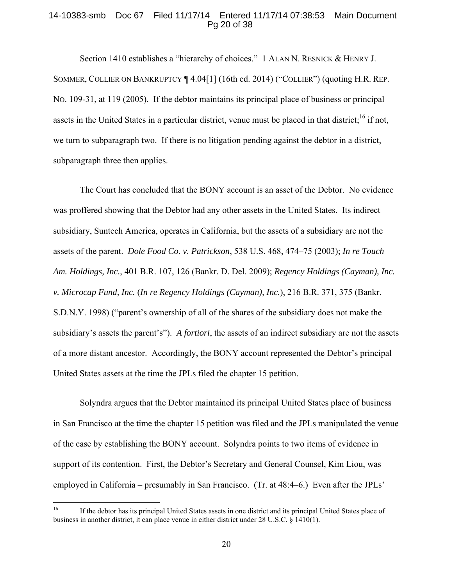# 14-10383-smb Doc 67 Filed 11/17/14 Entered 11/17/14 07:38:53 Main Document Pg 20 of 38

Section 1410 establishes a "hierarchy of choices." 1 ALAN N. RESNICK & HENRY J. SOMMER, COLLIER ON BANKRUPTCY ¶ 4.04[1] (16th ed. 2014) ("COLLIER") (quoting H.R. REP. NO. 109-31, at 119 (2005). If the debtor maintains its principal place of business or principal assets in the United States in a particular district, venue must be placed in that district;<sup>16</sup> if not, we turn to subparagraph two. If there is no litigation pending against the debtor in a district, subparagraph three then applies.

 The Court has concluded that the BONY account is an asset of the Debtor. No evidence was proffered showing that the Debtor had any other assets in the United States. Its indirect subsidiary, Suntech America, operates in California, but the assets of a subsidiary are not the assets of the parent. *Dole Food Co. v. Patrickson*, 538 U.S. 468, 474–75 (2003); *In re Touch Am. Holdings, Inc.*, 401 B.R. 107, 126 (Bankr. D. Del. 2009); *Regency Holdings (Cayman), Inc. v. Microcap Fund, Inc.* (*In re Regency Holdings (Cayman), Inc.*), 216 B.R. 371, 375 (Bankr. S.D.N.Y. 1998) ("parent's ownership of all of the shares of the subsidiary does not make the subsidiary's assets the parent's"). *A fortiori*, the assets of an indirect subsidiary are not the assets of a more distant ancestor. Accordingly, the BONY account represented the Debtor's principal United States assets at the time the JPLs filed the chapter 15 petition.

 Solyndra argues that the Debtor maintained its principal United States place of business in San Francisco at the time the chapter 15 petition was filed and the JPLs manipulated the venue of the case by establishing the BONY account. Solyndra points to two items of evidence in support of its contention. First, the Debtor's Secretary and General Counsel, Kim Liou, was employed in California – presumably in San Francisco. (Tr. at 48:4–6.) Even after the JPLs'

 $16\,$ 16 If the debtor has its principal United States assets in one district and its principal United States place of business in another district, it can place venue in either district under 28 U.S.C. § 1410(1).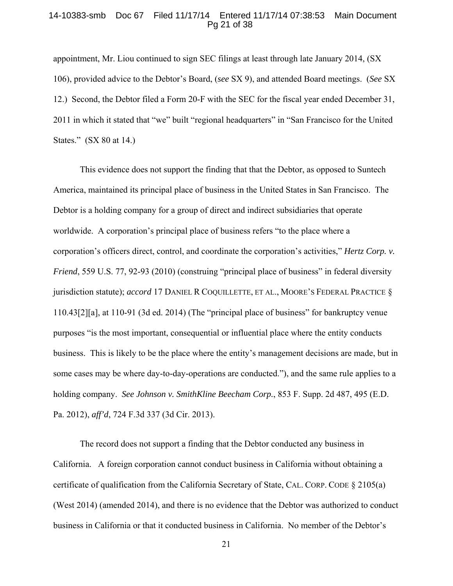### 14-10383-smb Doc 67 Filed 11/17/14 Entered 11/17/14 07:38:53 Main Document Pg 21 of 38

appointment, Mr. Liou continued to sign SEC filings at least through late January 2014, (SX 106), provided advice to the Debtor's Board, (*see* SX 9), and attended Board meetings. (*See* SX 12.) Second, the Debtor filed a Form 20-F with the SEC for the fiscal year ended December 31, 2011 in which it stated that "we" built "regional headquarters" in "San Francisco for the United States." (SX 80 at 14.)

 This evidence does not support the finding that that the Debtor, as opposed to Suntech America, maintained its principal place of business in the United States in San Francisco. The Debtor is a holding company for a group of direct and indirect subsidiaries that operate worldwide. A corporation's principal place of business refers "to the place where a corporation's officers direct, control, and coordinate the corporation's activities," *Hertz Corp. v. Friend*, 559 U.S. 77, 92-93 (2010) (construing "principal place of business" in federal diversity jurisdiction statute); *accord* 17 DANIEL R COQUILLETTE, ET AL., MOORE'S FEDERAL PRACTICE § 110.43[2][a], at 110-91 (3d ed. 2014) (The "principal place of business" for bankruptcy venue purposes "is the most important, consequential or influential place where the entity conducts business. This is likely to be the place where the entity's management decisions are made, but in some cases may be where day-to-day-operations are conducted."), and the same rule applies to a holding company. *See Johnson v. SmithKline Beecham Corp.*, 853 F. Supp. 2d 487, 495 (E.D. Pa. 2012), *aff'd*, 724 F.3d 337 (3d Cir. 2013).

The record does not support a finding that the Debtor conducted any business in California. A foreign corporation cannot conduct business in California without obtaining a certificate of qualification from the California Secretary of State, CAL. CORP. CODE § 2105(a) (West 2014) (amended 2014), and there is no evidence that the Debtor was authorized to conduct business in California or that it conducted business in California. No member of the Debtor's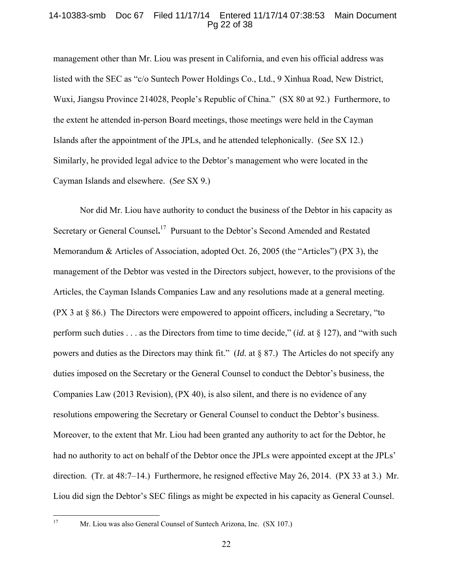# 14-10383-smb Doc 67 Filed 11/17/14 Entered 11/17/14 07:38:53 Main Document Pg 22 of 38

management other than Mr. Liou was present in California, and even his official address was listed with the SEC as "c/o Suntech Power Holdings Co., Ltd., 9 Xinhua Road, New District, Wuxi, Jiangsu Province 214028, People's Republic of China." (SX 80 at 92.) Furthermore, to the extent he attended in-person Board meetings, those meetings were held in the Cayman Islands after the appointment of the JPLs, and he attended telephonically. (*See* SX 12.) Similarly, he provided legal advice to the Debtor's management who were located in the Cayman Islands and elsewhere. (*See* SX 9.)

 Nor did Mr. Liou have authority to conduct the business of the Debtor in his capacity as Secretary or General Counsel**.** 17 Pursuant to the Debtor's Second Amended and Restated Memorandum & Articles of Association, adopted Oct. 26, 2005 (the "Articles") (PX 3), the management of the Debtor was vested in the Directors subject, however, to the provisions of the Articles, the Cayman Islands Companies Law and any resolutions made at a general meeting. (PX 3 at § 86.) The Directors were empowered to appoint officers, including a Secretary, "to perform such duties . . . as the Directors from time to time decide," (*id.* at § 127), and "with such powers and duties as the Directors may think fit." (*Id.* at § 87.) The Articles do not specify any duties imposed on the Secretary or the General Counsel to conduct the Debtor's business, the Companies Law (2013 Revision), (PX 40), is also silent, and there is no evidence of any resolutions empowering the Secretary or General Counsel to conduct the Debtor's business. Moreover, to the extent that Mr. Liou had been granted any authority to act for the Debtor, he had no authority to act on behalf of the Debtor once the JPLs were appointed except at the JPLs' direction. (Tr. at 48:7–14.) Furthermore, he resigned effective May 26, 2014. (PX 33 at 3.) Mr. Liou did sign the Debtor's SEC filings as might be expected in his capacity as General Counsel.

 $17\,$ 

Mr. Liou was also General Counsel of Suntech Arizona, Inc. (SX 107.)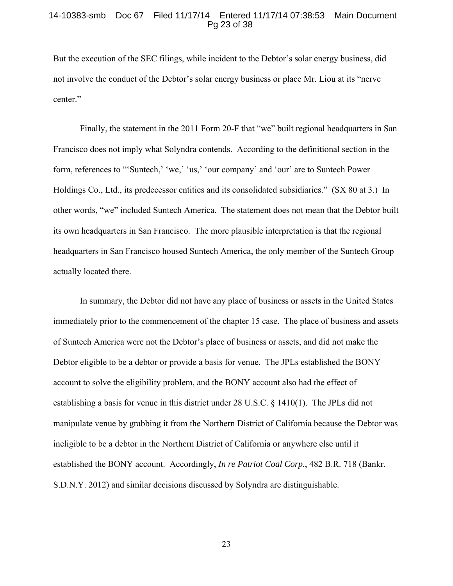### 14-10383-smb Doc 67 Filed 11/17/14 Entered 11/17/14 07:38:53 Main Document Pg 23 of 38

But the execution of the SEC filings, while incident to the Debtor's solar energy business, did not involve the conduct of the Debtor's solar energy business or place Mr. Liou at its "nerve center."

 Finally, the statement in the 2011 Form 20-F that "we" built regional headquarters in San Francisco does not imply what Solyndra contends. According to the definitional section in the form, references to "'Suntech,' 'we,' 'us,' 'our company' and 'our' are to Suntech Power Holdings Co., Ltd., its predecessor entities and its consolidated subsidiaries." (SX 80 at 3.) In other words, "we" included Suntech America. The statement does not mean that the Debtor built its own headquarters in San Francisco. The more plausible interpretation is that the regional headquarters in San Francisco housed Suntech America, the only member of the Suntech Group actually located there.

 In summary, the Debtor did not have any place of business or assets in the United States immediately prior to the commencement of the chapter 15 case. The place of business and assets of Suntech America were not the Debtor's place of business or assets, and did not make the Debtor eligible to be a debtor or provide a basis for venue. The JPLs established the BONY account to solve the eligibility problem, and the BONY account also had the effect of establishing a basis for venue in this district under 28 U.S.C. § 1410(1). The JPLs did not manipulate venue by grabbing it from the Northern District of California because the Debtor was ineligible to be a debtor in the Northern District of California or anywhere else until it established the BONY account. Accordingly, *In re Patriot Coal Corp.*, 482 B.R. 718 (Bankr. S.D.N.Y. 2012) and similar decisions discussed by Solyndra are distinguishable.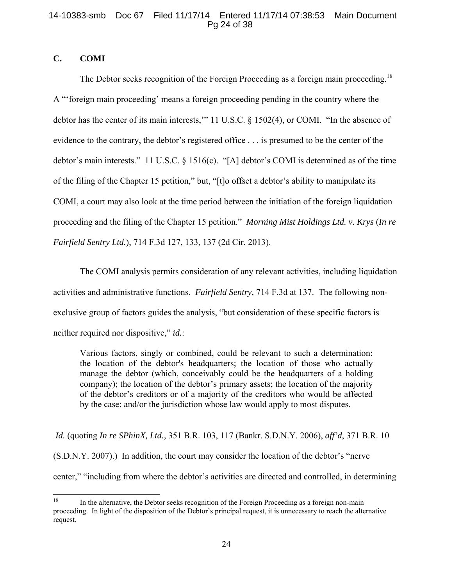# 14-10383-smb Doc 67 Filed 11/17/14 Entered 11/17/14 07:38:53 Main Document Pg 24 of 38

# **C. COMI**

The Debtor seeks recognition of the Foreign Proceeding as a foreign main proceeding.<sup>18</sup> A "'foreign main proceeding' means a foreign proceeding pending in the country where the debtor has the center of its main interests,'" 11 U.S.C. § 1502(4), or COMI. "In the absence of evidence to the contrary, the debtor's registered office . . . is presumed to be the center of the debtor's main interests." 11 U.S.C. § 1516(c). "[A] debtor's COMI is determined as of the time of the filing of the Chapter 15 petition," but, "[t]o offset a debtor's ability to manipulate its COMI, a court may also look at the time period between the initiation of the foreign liquidation proceeding and the filing of the Chapter 15 petition." *Morning Mist Holdings Ltd. v. Krys* (*In re Fairfield Sentry Ltd.*), 714 F.3d 127, 133, 137 (2d Cir. 2013).

 The COMI analysis permits consideration of any relevant activities, including liquidation activities and administrative functions. *Fairfield Sentry,* 714 F.3d at 137. The following nonexclusive group of factors guides the analysis, "but consideration of these specific factors is neither required nor dispositive," *id.*:

Various factors, singly or combined, could be relevant to such a determination: the location of the debtor's headquarters; the location of those who actually manage the debtor (which, conceivably could be the headquarters of a holding company); the location of the debtor's primary assets; the location of the majority of the debtor's creditors or of a majority of the creditors who would be affected by the case; and/or the jurisdiction whose law would apply to most disputes.

*Id.* (quoting *In re SPhinX, Ltd.,* 351 B.R. 103, 117 (Bankr. S.D.N.Y. 2006), *aff'd*, 371 B.R. 10 (S.D.N.Y. 2007).) In addition, the court may consider the location of the debtor's "nerve center," "including from where the debtor's activities are directed and controlled, in determining

<sup>1</sup> 18 In the alternative, the Debtor seeks recognition of the Foreign Proceeding as a foreign non-main proceeding. In light of the disposition of the Debtor's principal request, it is unnecessary to reach the alternative request.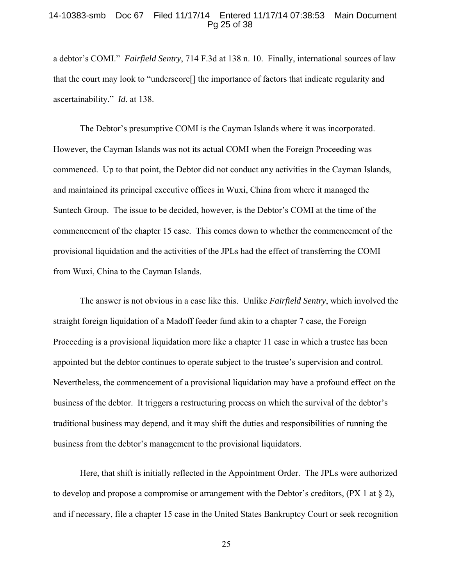# 14-10383-smb Doc 67 Filed 11/17/14 Entered 11/17/14 07:38:53 Main Document Pg 25 of 38

a debtor's COMI." *Fairfield Sentry*, 714 F.3d at 138 n. 10. Finally, international sources of law that the court may look to "underscore[] the importance of factors that indicate regularity and ascertainability." *Id.* at 138.

 The Debtor's presumptive COMI is the Cayman Islands where it was incorporated. However, the Cayman Islands was not its actual COMI when the Foreign Proceeding was commenced. Up to that point, the Debtor did not conduct any activities in the Cayman Islands, and maintained its principal executive offices in Wuxi, China from where it managed the Suntech Group. The issue to be decided, however, is the Debtor's COMI at the time of the commencement of the chapter 15 case. This comes down to whether the commencement of the provisional liquidation and the activities of the JPLs had the effect of transferring the COMI from Wuxi, China to the Cayman Islands.

 The answer is not obvious in a case like this. Unlike *Fairfield Sentry*, which involved the straight foreign liquidation of a Madoff feeder fund akin to a chapter 7 case, the Foreign Proceeding is a provisional liquidation more like a chapter 11 case in which a trustee has been appointed but the debtor continues to operate subject to the trustee's supervision and control. Nevertheless, the commencement of a provisional liquidation may have a profound effect on the business of the debtor. It triggers a restructuring process on which the survival of the debtor's traditional business may depend, and it may shift the duties and responsibilities of running the business from the debtor's management to the provisional liquidators.

 Here, that shift is initially reflected in the Appointment Order. The JPLs were authorized to develop and propose a compromise or arrangement with the Debtor's creditors,  $(PX \mid \text{at } \S \text{ 2})$ , and if necessary, file a chapter 15 case in the United States Bankruptcy Court or seek recognition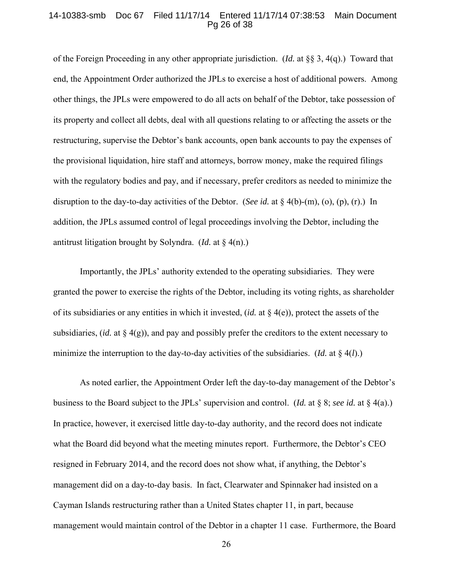### 14-10383-smb Doc 67 Filed 11/17/14 Entered 11/17/14 07:38:53 Main Document Pg 26 of 38

of the Foreign Proceeding in any other appropriate jurisdiction. (*Id.* at §§ 3, 4(q).) Toward that end, the Appointment Order authorized the JPLs to exercise a host of additional powers. Among other things, the JPLs were empowered to do all acts on behalf of the Debtor, take possession of its property and collect all debts, deal with all questions relating to or affecting the assets or the restructuring, supervise the Debtor's bank accounts, open bank accounts to pay the expenses of the provisional liquidation, hire staff and attorneys, borrow money, make the required filings with the regulatory bodies and pay, and if necessary, prefer creditors as needed to minimize the disruption to the day-to-day activities of the Debtor. (*See id.* at § 4(b)-(m), (o), (p), (r).) In addition, the JPLs assumed control of legal proceedings involving the Debtor, including the antitrust litigation brought by Solyndra. (*Id.* at § 4(n).)

 Importantly, the JPLs' authority extended to the operating subsidiaries. They were granted the power to exercise the rights of the Debtor, including its voting rights, as shareholder of its subsidiaries or any entities in which it invested, (*id.* at § 4(e)), protect the assets of the subsidiaries, (*id.* at § 4(g)), and pay and possibly prefer the creditors to the extent necessary to minimize the interruption to the day-to-day activities of the subsidiaries. (*Id.* at § 4(*l*).)

 As noted earlier, the Appointment Order left the day-to-day management of the Debtor's business to the Board subject to the JPLs' supervision and control. (*Id.* at § 8; *see id.* at § 4(a).) In practice, however, it exercised little day-to-day authority, and the record does not indicate what the Board did beyond what the meeting minutes report. Furthermore, the Debtor's CEO resigned in February 2014, and the record does not show what, if anything, the Debtor's management did on a day-to-day basis. In fact, Clearwater and Spinnaker had insisted on a Cayman Islands restructuring rather than a United States chapter 11, in part, because management would maintain control of the Debtor in a chapter 11 case. Furthermore, the Board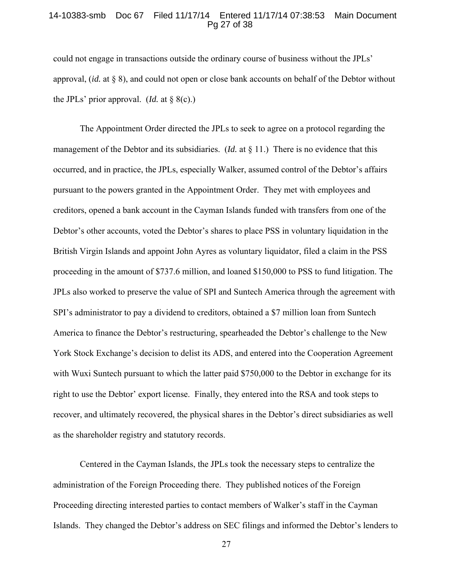### 14-10383-smb Doc 67 Filed 11/17/14 Entered 11/17/14 07:38:53 Main Document Pg 27 of 38

could not engage in transactions outside the ordinary course of business without the JPLs' approval, (*id.* at § 8), and could not open or close bank accounts on behalf of the Debtor without the JPLs' prior approval. (*Id.* at  $\S$  8(c).)

 The Appointment Order directed the JPLs to seek to agree on a protocol regarding the management of the Debtor and its subsidiaries. (*Id.* at § 11.) There is no evidence that this occurred, and in practice, the JPLs, especially Walker, assumed control of the Debtor's affairs pursuant to the powers granted in the Appointment Order. They met with employees and creditors, opened a bank account in the Cayman Islands funded with transfers from one of the Debtor's other accounts, voted the Debtor's shares to place PSS in voluntary liquidation in the British Virgin Islands and appoint John Ayres as voluntary liquidator, filed a claim in the PSS proceeding in the amount of \$737.6 million, and loaned \$150,000 to PSS to fund litigation. The JPLs also worked to preserve the value of SPI and Suntech America through the agreement with SPI's administrator to pay a dividend to creditors, obtained a \$7 million loan from Suntech America to finance the Debtor's restructuring, spearheaded the Debtor's challenge to the New York Stock Exchange's decision to delist its ADS, and entered into the Cooperation Agreement with Wuxi Suntech pursuant to which the latter paid \$750,000 to the Debtor in exchange for its right to use the Debtor' export license. Finally, they entered into the RSA and took steps to recover, and ultimately recovered, the physical shares in the Debtor's direct subsidiaries as well as the shareholder registry and statutory records.

 Centered in the Cayman Islands, the JPLs took the necessary steps to centralize the administration of the Foreign Proceeding there. They published notices of the Foreign Proceeding directing interested parties to contact members of Walker's staff in the Cayman Islands. They changed the Debtor's address on SEC filings and informed the Debtor's lenders to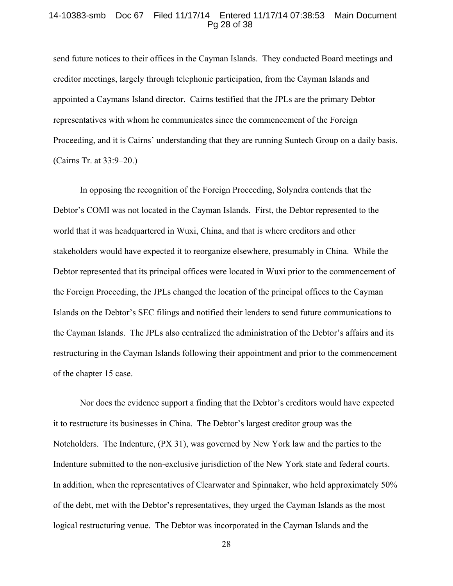### 14-10383-smb Doc 67 Filed 11/17/14 Entered 11/17/14 07:38:53 Main Document Pg 28 of 38

send future notices to their offices in the Cayman Islands. They conducted Board meetings and creditor meetings, largely through telephonic participation, from the Cayman Islands and appointed a Caymans Island director. Cairns testified that the JPLs are the primary Debtor representatives with whom he communicates since the commencement of the Foreign Proceeding, and it is Cairns' understanding that they are running Suntech Group on a daily basis. (Cairns Tr. at 33:9–20.)

 In opposing the recognition of the Foreign Proceeding, Solyndra contends that the Debtor's COMI was not located in the Cayman Islands. First, the Debtor represented to the world that it was headquartered in Wuxi, China, and that is where creditors and other stakeholders would have expected it to reorganize elsewhere, presumably in China. While the Debtor represented that its principal offices were located in Wuxi prior to the commencement of the Foreign Proceeding, the JPLs changed the location of the principal offices to the Cayman Islands on the Debtor's SEC filings and notified their lenders to send future communications to the Cayman Islands. The JPLs also centralized the administration of the Debtor's affairs and its restructuring in the Cayman Islands following their appointment and prior to the commencement of the chapter 15 case.

 Nor does the evidence support a finding that the Debtor's creditors would have expected it to restructure its businesses in China. The Debtor's largest creditor group was the Noteholders. The Indenture, (PX 31), was governed by New York law and the parties to the Indenture submitted to the non-exclusive jurisdiction of the New York state and federal courts. In addition, when the representatives of Clearwater and Spinnaker, who held approximately 50% of the debt, met with the Debtor's representatives, they urged the Cayman Islands as the most logical restructuring venue. The Debtor was incorporated in the Cayman Islands and the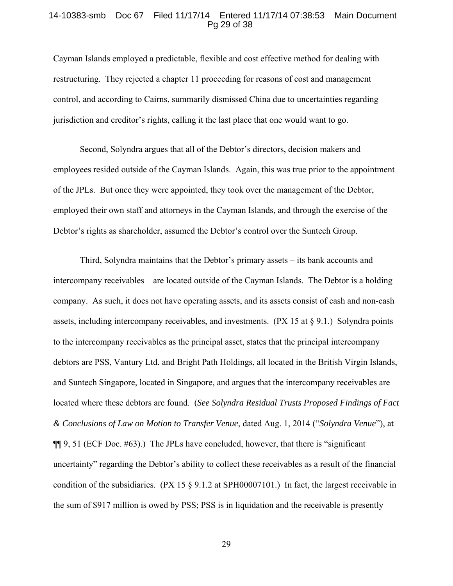### 14-10383-smb Doc 67 Filed 11/17/14 Entered 11/17/14 07:38:53 Main Document Pg 29 of 38

Cayman Islands employed a predictable, flexible and cost effective method for dealing with restructuring. They rejected a chapter 11 proceeding for reasons of cost and management control, and according to Cairns, summarily dismissed China due to uncertainties regarding jurisdiction and creditor's rights, calling it the last place that one would want to go.

 Second, Solyndra argues that all of the Debtor's directors, decision makers and employees resided outside of the Cayman Islands. Again, this was true prior to the appointment of the JPLs. But once they were appointed, they took over the management of the Debtor, employed their own staff and attorneys in the Cayman Islands, and through the exercise of the Debtor's rights as shareholder, assumed the Debtor's control over the Suntech Group.

Third, Solyndra maintains that the Debtor's primary assets – its bank accounts and intercompany receivables – are located outside of the Cayman Islands. The Debtor is a holding company. As such, it does not have operating assets, and its assets consist of cash and non-cash assets, including intercompany receivables, and investments. (PX 15 at § 9.1.) Solyndra points to the intercompany receivables as the principal asset, states that the principal intercompany debtors are PSS, Vantury Ltd. and Bright Path Holdings, all located in the British Virgin Islands, and Suntech Singapore, located in Singapore, and argues that the intercompany receivables are located where these debtors are found. (*See Solyndra Residual Trusts Proposed Findings of Fact & Conclusions of Law on Motion to Transfer Venue*, dated Aug. 1, 2014 ("*Solyndra Venue*"), at ¶¶ 9, 51 (ECF Doc. #63).) The JPLs have concluded, however, that there is "significant uncertainty" regarding the Debtor's ability to collect these receivables as a result of the financial condition of the subsidiaries. (PX 15 § 9.1.2 at SPH00007101.) In fact, the largest receivable in the sum of \$917 million is owed by PSS; PSS is in liquidation and the receivable is presently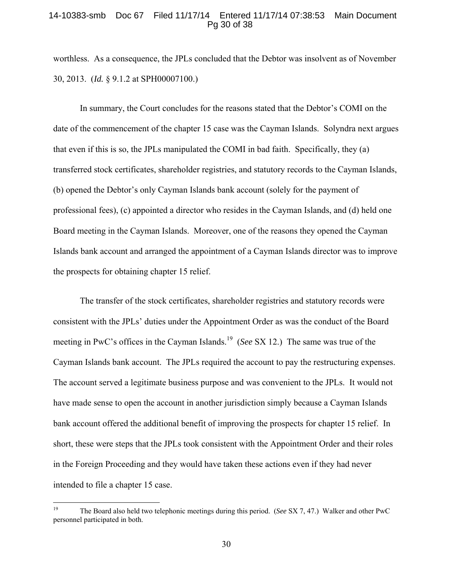# 14-10383-smb Doc 67 Filed 11/17/14 Entered 11/17/14 07:38:53 Main Document Pg 30 of 38

worthless. As a consequence, the JPLs concluded that the Debtor was insolvent as of November 30, 2013. (*Id.* § 9.1.2 at SPH00007100.)

In summary, the Court concludes for the reasons stated that the Debtor's COMI on the date of the commencement of the chapter 15 case was the Cayman Islands. Solyndra next argues that even if this is so, the JPLs manipulated the COMI in bad faith. Specifically, they (a) transferred stock certificates, shareholder registries, and statutory records to the Cayman Islands, (b) opened the Debtor's only Cayman Islands bank account (solely for the payment of professional fees), (c) appointed a director who resides in the Cayman Islands, and (d) held one Board meeting in the Cayman Islands. Moreover, one of the reasons they opened the Cayman Islands bank account and arranged the appointment of a Cayman Islands director was to improve the prospects for obtaining chapter 15 relief.

 The transfer of the stock certificates, shareholder registries and statutory records were consistent with the JPLs' duties under the Appointment Order as was the conduct of the Board meeting in PwC's offices in the Cayman Islands.<sup>19</sup> (*See* SX 12.) The same was true of the Cayman Islands bank account. The JPLs required the account to pay the restructuring expenses. The account served a legitimate business purpose and was convenient to the JPLs. It would not have made sense to open the account in another jurisdiction simply because a Cayman Islands bank account offered the additional benefit of improving the prospects for chapter 15 relief. In short, these were steps that the JPLs took consistent with the Appointment Order and their roles in the Foreign Proceeding and they would have taken these actions even if they had never intended to file a chapter 15 case.

 $19\,$ 19 The Board also held two telephonic meetings during this period. (*See* SX 7, 47.) Walker and other PwC personnel participated in both.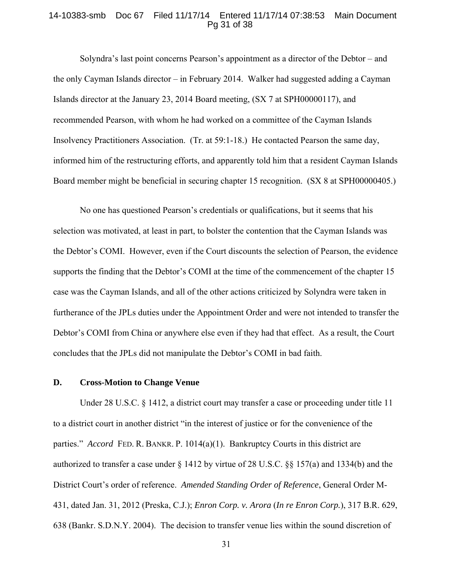### 14-10383-smb Doc 67 Filed 11/17/14 Entered 11/17/14 07:38:53 Main Document Pg 31 of 38

Solyndra's last point concerns Pearson's appointment as a director of the Debtor – and the only Cayman Islands director – in February 2014. Walker had suggested adding a Cayman Islands director at the January 23, 2014 Board meeting, (SX 7 at SPH00000117), and recommended Pearson, with whom he had worked on a committee of the Cayman Islands Insolvency Practitioners Association. (Tr. at 59:1-18.) He contacted Pearson the same day, informed him of the restructuring efforts, and apparently told him that a resident Cayman Islands Board member might be beneficial in securing chapter 15 recognition. (SX 8 at SPH00000405.)

 No one has questioned Pearson's credentials or qualifications, but it seems that his selection was motivated, at least in part, to bolster the contention that the Cayman Islands was the Debtor's COMI. However, even if the Court discounts the selection of Pearson, the evidence supports the finding that the Debtor's COMI at the time of the commencement of the chapter 15 case was the Cayman Islands, and all of the other actions criticized by Solyndra were taken in furtherance of the JPLs duties under the Appointment Order and were not intended to transfer the Debtor's COMI from China or anywhere else even if they had that effect. As a result, the Court concludes that the JPLs did not manipulate the Debtor's COMI in bad faith.

# **D. Cross-Motion to Change Venue**

Under 28 U.S.C. § 1412, a district court may transfer a case or proceeding under title 11 to a district court in another district "in the interest of justice or for the convenience of the parties." *Accord* FED. R. BANKR. P. 1014(a)(1). Bankruptcy Courts in this district are authorized to transfer a case under § 1412 by virtue of 28 U.S.C. §§ 157(a) and 1334(b) and the District Court's order of reference. *Amended Standing Order of Reference*, General Order M-431, dated Jan. 31, 2012 (Preska, C.J.); *Enron Corp. v. Arora* (*In re Enron Corp.*), 317 B.R. 629, 638 (Bankr. S.D.N.Y. 2004). The decision to transfer venue lies within the sound discretion of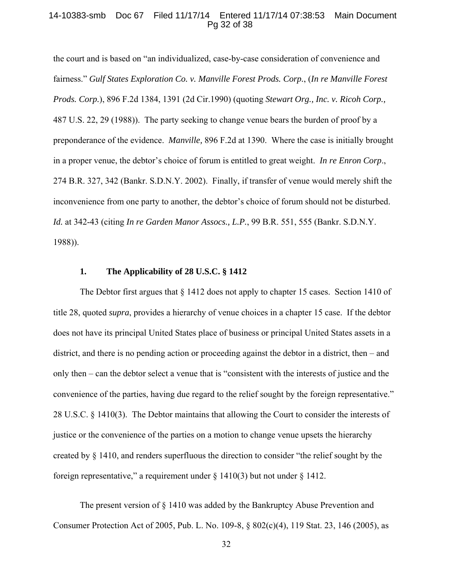### 14-10383-smb Doc 67 Filed 11/17/14 Entered 11/17/14 07:38:53 Main Document Pg 32 of 38

the court and is based on "an individualized, case-by-case consideration of convenience and fairness." *Gulf States Exploration Co. v. Manville Forest Prods. Corp.*, (*In re Manville Forest Prods. Corp.*), 896 F.2d 1384, 1391 (2d Cir.1990) (quoting *Stewart Org., Inc. v. Ricoh Corp.,* 487 U.S. 22, 29 (1988)). The party seeking to change venue bears the burden of proof by a preponderance of the evidence. *Manville,* 896 F.2d at 1390. Where the case is initially brought in a proper venue, the debtor's choice of forum is entitled to great weight. *In re Enron Corp*., 274 B.R. 327, 342 (Bankr. S.D.N.Y. 2002). Finally, if transfer of venue would merely shift the inconvenience from one party to another, the debtor's choice of forum should not be disturbed. *Id.* at 342-43 (citing *In re Garden Manor Assocs., L.P.*, 99 B.R. 551, 555 (Bankr. S.D.N.Y. 1988)).

### **1. The Applicability of 28 U.S.C. § 1412**

 The Debtor first argues that § 1412 does not apply to chapter 15 cases. Section 1410 of title 28, quoted *supra*, provides a hierarchy of venue choices in a chapter 15 case. If the debtor does not have its principal United States place of business or principal United States assets in a district, and there is no pending action or proceeding against the debtor in a district, then  $-$  and only then ‒ can the debtor select a venue that is "consistent with the interests of justice and the convenience of the parties, having due regard to the relief sought by the foreign representative." 28 U.S.C. § 1410(3). The Debtor maintains that allowing the Court to consider the interests of justice or the convenience of the parties on a motion to change venue upsets the hierarchy created by § 1410, and renders superfluous the direction to consider "the relief sought by the foreign representative," a requirement under  $\S$  1410(3) but not under  $\S$  1412.

 The present version of § 1410 was added by the Bankruptcy Abuse Prevention and Consumer Protection Act of 2005, Pub. L. No. 109-8, § 802(c)(4), 119 Stat. 23, 146 (2005), as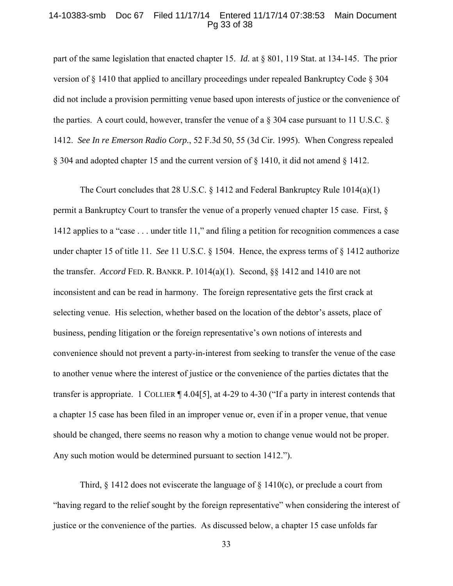### 14-10383-smb Doc 67 Filed 11/17/14 Entered 11/17/14 07:38:53 Main Document Pg 33 of 38

part of the same legislation that enacted chapter 15. *Id.* at § 801, 119 Stat. at 134-145.The prior version of § 1410 that applied to ancillary proceedings under repealed Bankruptcy Code § 304 did not include a provision permitting venue based upon interests of justice or the convenience of the parties. A court could, however, transfer the venue of a  $\S 304$  case pursuant to 11 U.S.C.  $\S$ 1412. *See In re Emerson Radio Corp.*, 52 F.3d 50, 55 (3d Cir. 1995). When Congress repealed § 304 and adopted chapter 15 and the current version of § 1410, it did not amend § 1412.

The Court concludes that 28 U.S.C. § 1412 and Federal Bankruptcy Rule 1014(a)(1) permit a Bankruptcy Court to transfer the venue of a properly venued chapter 15 case. First, § 1412 applies to a "case . . . under title 11," and filing a petition for recognition commences a case under chapter 15 of title 11. *See* 11 U.S.C. § 1504. Hence, the express terms of § 1412 authorize the transfer. *Accord* FED. R. BANKR. P.  $1014(a)(1)$ . Second, §§ 1412 and 1410 are not inconsistent and can be read in harmony. The foreign representative gets the first crack at selecting venue. His selection, whether based on the location of the debtor's assets, place of business, pending litigation or the foreign representative's own notions of interests and convenience should not prevent a party-in-interest from seeking to transfer the venue of the case to another venue where the interest of justice or the convenience of the parties dictates that the transfer is appropriate. 1 COLLIER ¶ 4.04[5], at 4-29 to 4-30 ("If a party in interest contends that a chapter 15 case has been filed in an improper venue or, even if in a proper venue, that venue should be changed, there seems no reason why a motion to change venue would not be proper. Any such motion would be determined pursuant to section 1412.").

Third,  $\S$  1412 does not eviscerate the language of  $\S$  1410(c), or preclude a court from "having regard to the relief sought by the foreign representative" when considering the interest of justice or the convenience of the parties. As discussed below, a chapter 15 case unfolds far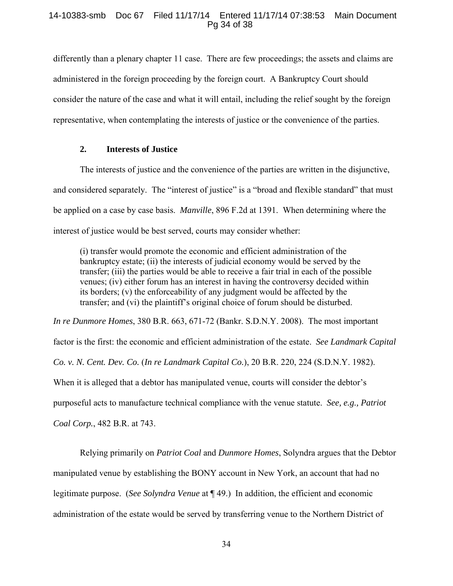# 14-10383-smb Doc 67 Filed 11/17/14 Entered 11/17/14 07:38:53 Main Document Pg 34 of 38

differently than a plenary chapter 11 case. There are few proceedings; the assets and claims are administered in the foreign proceeding by the foreign court. A Bankruptcy Court should consider the nature of the case and what it will entail, including the relief sought by the foreign representative, when contemplating the interests of justice or the convenience of the parties.

# **2. Interests of Justice**

 The interests of justice and the convenience of the parties are written in the disjunctive, and considered separately. The "interest of justice" is a "broad and flexible standard" that must be applied on a case by case basis. *Manville*, 896 F.2d at 1391. When determining where the interest of justice would be best served, courts may consider whether:

(i) transfer would promote the economic and efficient administration of the bankruptcy estate; (ii) the interests of judicial economy would be served by the transfer; (iii) the parties would be able to receive a fair trial in each of the possible venues; (iv) either forum has an interest in having the controversy decided within its borders; (v) the enforceability of any judgment would be affected by the transfer; and (vi) the plaintiff's original choice of forum should be disturbed.

*In re Dunmore Homes*, 380 B.R. 663, 671-72 (Bankr. S.D.N.Y. 2008). The most important factor is the first: the economic and efficient administration of the estate. *See Landmark Capital Co. v. N. Cent. Dev. Co.* (*In re Landmark Capital Co.*), 20 B.R. 220, 224 (S.D.N.Y. 1982). When it is alleged that a debtor has manipulated venue, courts will consider the debtor's purposeful acts to manufacture technical compliance with the venue statute. *See, e.g., Patriot Coal Corp.*, 482 B.R. at 743.

 Relying primarily on *Patriot Coal* and *Dunmore Homes*, Solyndra argues that the Debtor manipulated venue by establishing the BONY account in New York, an account that had no legitimate purpose. (*See Solyndra Venue* at ¶ 49.) In addition, the efficient and economic administration of the estate would be served by transferring venue to the Northern District of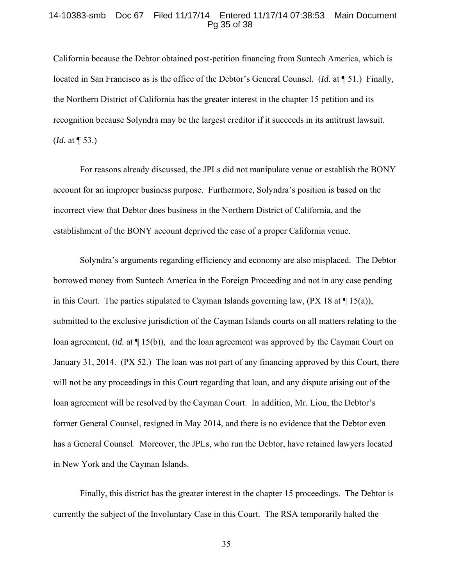## 14-10383-smb Doc 67 Filed 11/17/14 Entered 11/17/14 07:38:53 Main Document Pg 35 of 38

California because the Debtor obtained post-petition financing from Suntech America, which is located in San Francisco as is the office of the Debtor's General Counsel. (*Id.* at ¶ 51.) Finally, the Northern District of California has the greater interest in the chapter 15 petition and its recognition because Solyndra may be the largest creditor if it succeeds in its antitrust lawsuit. (*Id.* at ¶ 53.)

 For reasons already discussed, the JPLs did not manipulate venue or establish the BONY account for an improper business purpose. Furthermore, Solyndra's position is based on the incorrect view that Debtor does business in the Northern District of California, and the establishment of the BONY account deprived the case of a proper California venue.

 Solyndra's arguments regarding efficiency and economy are also misplaced. The Debtor borrowed money from Suntech America in the Foreign Proceeding and not in any case pending in this Court. The parties stipulated to Cayman Islands governing law,  $(PX 18 at $15(a))$ , submitted to the exclusive jurisdiction of the Cayman Islands courts on all matters relating to the loan agreement, *(id.* at  $\P$  15(b)), and the loan agreement was approved by the Cayman Court on January 31, 2014. (PX 52.) The loan was not part of any financing approved by this Court, there will not be any proceedings in this Court regarding that loan, and any dispute arising out of the loan agreement will be resolved by the Cayman Court. In addition, Mr. Liou, the Debtor's former General Counsel, resigned in May 2014, and there is no evidence that the Debtor even has a General Counsel. Moreover, the JPLs, who run the Debtor, have retained lawyers located in New York and the Cayman Islands.

 Finally, this district has the greater interest in the chapter 15 proceedings. The Debtor is currently the subject of the Involuntary Case in this Court. The RSA temporarily halted the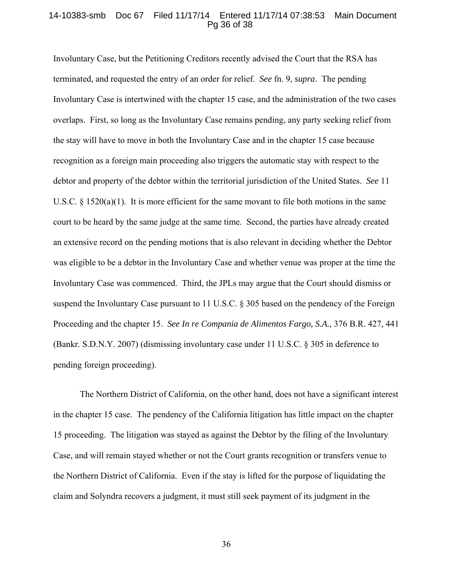# 14-10383-smb Doc 67 Filed 11/17/14 Entered 11/17/14 07:38:53 Main Document Pg 36 of 38

Involuntary Case, but the Petitioning Creditors recently advised the Court that the RSA has terminated, and requested the entry of an order for relief. *See* fn. 9, *supra*. The pending Involuntary Case is intertwined with the chapter 15 case, and the administration of the two cases overlaps. First, so long as the Involuntary Case remains pending, any party seeking relief from the stay will have to move in both the Involuntary Case and in the chapter 15 case because recognition as a foreign main proceeding also triggers the automatic stay with respect to the debtor and property of the debtor within the territorial jurisdiction of the United States. *See* 11 U.S.C.  $\S 1520(a)(1)$ . It is more efficient for the same movant to file both motions in the same court to be heard by the same judge at the same time. Second, the parties have already created an extensive record on the pending motions that is also relevant in deciding whether the Debtor was eligible to be a debtor in the Involuntary Case and whether venue was proper at the time the Involuntary Case was commenced. Third, the JPLs may argue that the Court should dismiss or suspend the Involuntary Case pursuant to 11 U.S.C. § 305 based on the pendency of the Foreign Proceeding and the chapter 15. *See In re Compania de Alimentos Fargo, S.A.*, 376 B.R. 427, 441 (Bankr. S.D.N.Y. 2007) (dismissing involuntary case under 11 U.S.C. § 305 in deference to pending foreign proceeding).

 The Northern District of California, on the other hand, does not have a significant interest in the chapter 15 case. The pendency of the California litigation has little impact on the chapter 15 proceeding. The litigation was stayed as against the Debtor by the filing of the Involuntary Case, and will remain stayed whether or not the Court grants recognition or transfers venue to the Northern District of California. Even if the stay is lifted for the purpose of liquidating the claim and Solyndra recovers a judgment, it must still seek payment of its judgment in the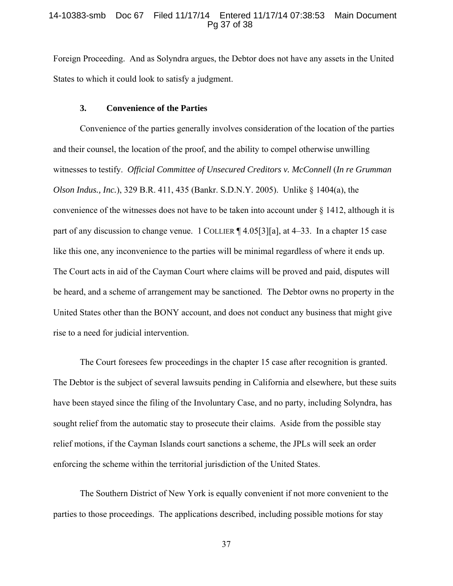### 14-10383-smb Doc 67 Filed 11/17/14 Entered 11/17/14 07:38:53 Main Document Pg 37 of 38

Foreign Proceeding. And as Solyndra argues, the Debtor does not have any assets in the United States to which it could look to satisfy a judgment.

#### **3. Convenience of the Parties**

 Convenience of the parties generally involves consideration of the location of the parties and their counsel, the location of the proof, and the ability to compel otherwise unwilling witnesses to testify. *Official Committee of Unsecured Creditors v. McConnell* (*In re Grumman Olson Indus., Inc.*), 329 B.R. 411, 435 (Bankr. S.D.N.Y. 2005). Unlike § 1404(a), the convenience of the witnesses does not have to be taken into account under § 1412, although it is part of any discussion to change venue. 1 COLLIER ¶ 4.05[3][a], at 4–33. In a chapter 15 case like this one, any inconvenience to the parties will be minimal regardless of where it ends up. The Court acts in aid of the Cayman Court where claims will be proved and paid, disputes will be heard, and a scheme of arrangement may be sanctioned. The Debtor owns no property in the United States other than the BONY account, and does not conduct any business that might give rise to a need for judicial intervention.

 The Court foresees few proceedings in the chapter 15 case after recognition is granted. The Debtor is the subject of several lawsuits pending in California and elsewhere, but these suits have been stayed since the filing of the Involuntary Case, and no party, including Solyndra, has sought relief from the automatic stay to prosecute their claims. Aside from the possible stay relief motions, if the Cayman Islands court sanctions a scheme, the JPLs will seek an order enforcing the scheme within the territorial jurisdiction of the United States.

 The Southern District of New York is equally convenient if not more convenient to the parties to those proceedings. The applications described, including possible motions for stay